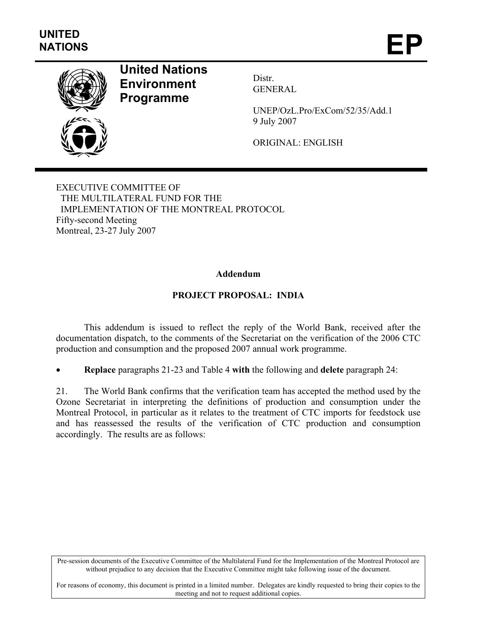

# **United Nations Environment Programme**

Distr. GENERAL

UNEP/OzL.Pro/ExCom/52/35/Add.1 9 July 2007

ORIGINAL: ENGLISH

EXECUTIVE COMMITTEE OF THE MULTILATERAL FUND FOR THE IMPLEMENTATION OF THE MONTREAL PROTOCOL Fifty-second Meeting Montreal, 23-27 July 2007

#### **Addendum**

#### **PROJECT PROPOSAL: INDIA**

This addendum is issued to reflect the reply of the World Bank, received after the documentation dispatch, to the comments of the Secretariat on the verification of the 2006 CTC production and consumption and the proposed 2007 annual work programme.

• **Replace** paragraphs 21-23 and Table 4 **with** the following and **delete** paragraph 24:

21. The World Bank confirms that the verification team has accepted the method used by the Ozone Secretariat in interpreting the definitions of production and consumption under the Montreal Protocol, in particular as it relates to the treatment of CTC imports for feedstock use and has reassessed the results of the verification of CTC production and consumption accordingly. The results are as follows:

Pre-session documents of the Executive Committee of the Multilateral Fund for the Implementation of the Montreal Protocol are without prejudice to any decision that the Executive Committee might take following issue of the document.

For reasons of economy, this document is printed in a limited number. Delegates are kindly requested to bring their copies to the meeting and not to request additional copies.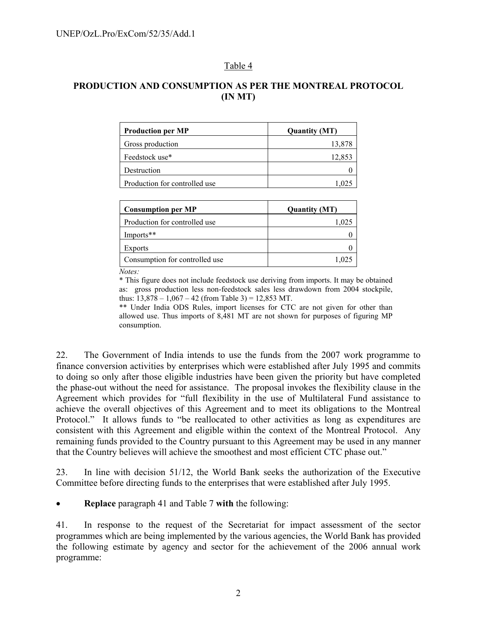#### Table 4

## **PRODUCTION AND CONSUMPTION AS PER THE MONTREAL PROTOCOL (IN MT)**

| <b>Production per MP</b>      | <b>Quantity (MT)</b> |
|-------------------------------|----------------------|
| Gross production              | 13,878               |
| Feedstock use*                | 12,853               |
| Destruction                   |                      |
| Production for controlled use |                      |

| <b>Quantity (MT)</b> |
|----------------------|
| 1.025                |
|                      |
|                      |
| 1.025                |
|                      |

*Notes:* \* This figure does not include feedstock use deriving from imports. It may be obtained as: gross production less non-feedstock sales less drawdown from 2004 stockpile, thus:  $13,878 - 1,067 - 42$  (from Table 3) = 12,853 MT.

\*\* Under India ODS Rules, import licenses for CTC are not given for other than allowed use. Thus imports of 8,481 MT are not shown for purposes of figuring MP consumption.

22. The Government of India intends to use the funds from the 2007 work programme to finance conversion activities by enterprises which were established after July 1995 and commits to doing so only after those eligible industries have been given the priority but have completed the phase-out without the need for assistance. The proposal invokes the flexibility clause in the Agreement which provides for "full flexibility in the use of Multilateral Fund assistance to achieve the overall objectives of this Agreement and to meet its obligations to the Montreal Protocol." It allows funds to "be reallocated to other activities as long as expenditures are consistent with this Agreement and eligible within the context of the Montreal Protocol. Any remaining funds provided to the Country pursuant to this Agreement may be used in any manner that the Country believes will achieve the smoothest and most efficient CTC phase out."

23. In line with decision 51/12, the World Bank seeks the authorization of the Executive Committee before directing funds to the enterprises that were established after July 1995.

• **Replace** paragraph 41 and Table 7 **with** the following:

41. In response to the request of the Secretariat for impact assessment of the sector programmes which are being implemented by the various agencies, the World Bank has provided the following estimate by agency and sector for the achievement of the 2006 annual work programme: